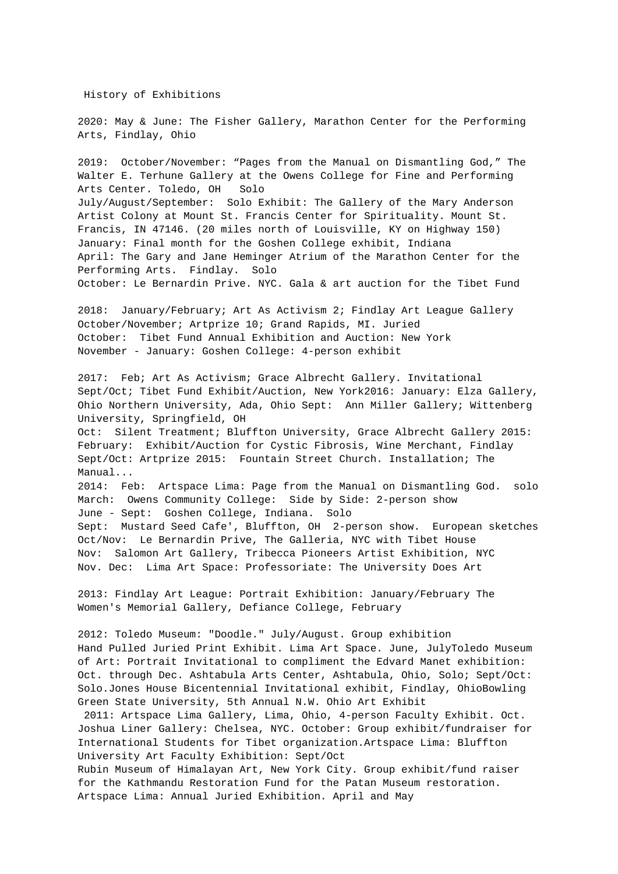History of Exhibitions

2020: May & June: The Fisher Gallery, Marathon Center for the Performing Arts, Findlay, Ohio

2019: October/November: "Pages from the Manual on Dismantling God," The Walter E. Terhune Gallery at the Owens College for Fine and Performing Arts Center. Toledo, OH Solo July/August/September: Solo Exhibit: The Gallery of the Mary Anderson Artist Colony at Mount St. Francis Center for Spirituality. Mount St. Francis, IN 47146. (20 miles north of Louisville, KY on Highway 150) January: Final month for the Goshen College exhibit, Indiana April: The Gary and Jane Heminger Atrium of the Marathon Center for the Performing Arts. Findlay. Solo October: Le Bernardin Prive. NYC. Gala & art auction for the Tibet Fund

2018: January/February; Art As Activism 2; Findlay Art League Gallery October/November; Artprize 10; Grand Rapids, MI. Juried October: Tibet Fund Annual Exhibition and Auction: New York November - January: Goshen College: 4-person exhibit

2017: Feb; Art As Activism; Grace Albrecht Gallery. Invitational Sept/Oct; Tibet Fund Exhibit/Auction, New York2016: January: Elza Gallery, Ohio Northern University, Ada, Ohio Sept: Ann Miller Gallery; Wittenberg University, Springfield, OH

Oct: Silent Treatment; Bluffton University, Grace Albrecht Gallery 2015: February: Exhibit/Auction for Cystic Fibrosis, Wine Merchant, Findlay Sept/Oct: Artprize 2015: Fountain Street Church. Installation; The Manual...

2014: Feb: Artspace Lima: Page from the Manual on Dismantling God. solo March: Owens Community College: Side by Side: 2-person show June - Sept: Goshen College, Indiana. Solo Sept: Mustard Seed Cafe', Bluffton, OH 2-person show. European sketches Oct/Nov: Le Bernardin Prive, The Galleria, NYC with Tibet House Nov: Salomon Art Gallery, Tribecca Pioneers Artist Exhibition, NYC Nov. Dec: Lima Art Space: Professoriate: The University Does Art

2013: Findlay Art League: Portrait Exhibition: January/February The Women's Memorial Gallery, Defiance College, February

2012: Toledo Museum: "Doodle." July/August. Group exhibition Hand Pulled Juried Print Exhibit. Lima Art Space. June, JulyToledo Museum of Art: Portrait Invitational to compliment the Edvard Manet exhibition: Oct. through Dec. Ashtabula Arts Center, Ashtabula, Ohio, Solo; Sept/Oct: Solo.Jones House Bicentennial Invitational exhibit, Findlay, OhioBowling Green State University, 5th Annual N.W. Ohio Art Exhibit

2011: Artspace Lima Gallery, Lima, Ohio, 4-person Faculty Exhibit. Oct. Joshua Liner Gallery: Chelsea, NYC. October: Group exhibit/fundraiser for International Students for Tibet organization.Artspace Lima: Bluffton University Art Faculty Exhibition: Sept/Oct

Rubin Museum of Himalayan Art, New York City. Group exhibit/fund raiser for the Kathmandu Restoration Fund for the Patan Museum restoration. Artspace Lima: Annual Juried Exhibition. April and May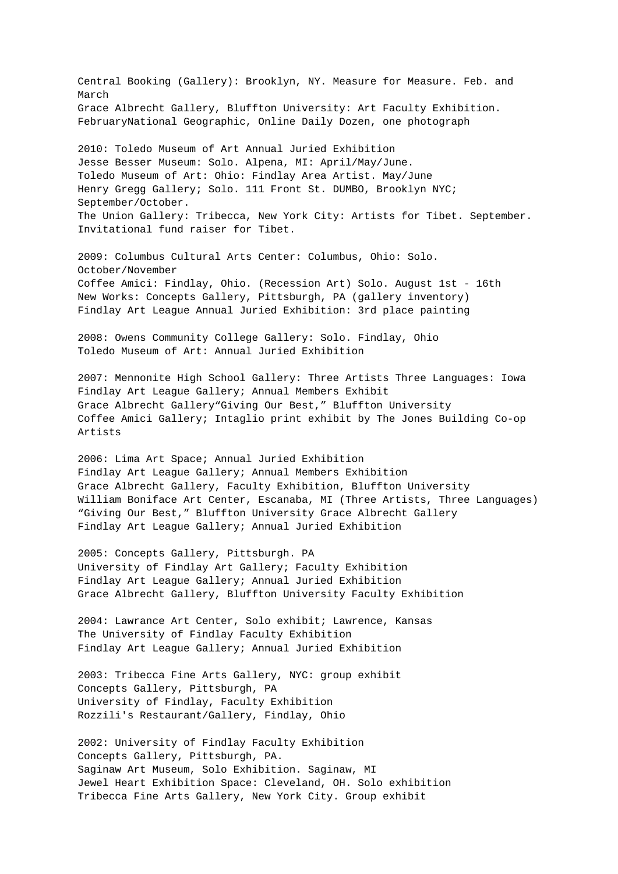Central Booking (Gallery): Brooklyn, NY. Measure for Measure. Feb. and March Grace Albrecht Gallery, Bluffton University: Art Faculty Exhibition. FebruaryNational Geographic, Online Daily Dozen, one photograph

2010: Toledo Museum of Art Annual Juried Exhibition Jesse Besser Museum: Solo. Alpena, MI: April/May/June. Toledo Museum of Art: Ohio: Findlay Area Artist. May/June Henry Gregg Gallery; Solo. 111 Front St. DUMBO, Brooklyn NYC; September/October. The Union Gallery: Tribecca, New York City: Artists for Tibet. September. Invitational fund raiser for Tibet.

2009: Columbus Cultural Arts Center: Columbus, Ohio: Solo. October/November Coffee Amici: Findlay, Ohio. (Recession Art) Solo. August 1st - 16th New Works: Concepts Gallery, Pittsburgh, PA (gallery inventory) Findlay Art League Annual Juried Exhibition: 3rd place painting

2008: Owens Community College Gallery: Solo. Findlay, Ohio Toledo Museum of Art: Annual Juried Exhibition

2007: Mennonite High School Gallery: Three Artists Three Languages: Iowa Findlay Art League Gallery; Annual Members Exhibit Grace Albrecht Gallery"Giving Our Best," Bluffton University Coffee Amici Gallery; Intaglio print exhibit by The Jones Building Co-op Artists

2006: Lima Art Space; Annual Juried Exhibition Findlay Art League Gallery; Annual Members Exhibition Grace Albrecht Gallery, Faculty Exhibition, Bluffton University William Boniface Art Center, Escanaba, MI (Three Artists, Three Languages) "Giving Our Best," Bluffton University Grace Albrecht Gallery Findlay Art League Gallery; Annual Juried Exhibition

2005: Concepts Gallery, Pittsburgh. PA University of Findlay Art Gallery; Faculty Exhibition Findlay Art League Gallery; Annual Juried Exhibition Grace Albrecht Gallery, Bluffton University Faculty Exhibition

2004: Lawrance Art Center, Solo exhibit; Lawrence, Kansas The University of Findlay Faculty Exhibition Findlay Art League Gallery; Annual Juried Exhibition

2003: Tribecca Fine Arts Gallery, NYC: group exhibit Concepts Gallery, Pittsburgh, PA University of Findlay, Faculty Exhibition Rozzili's Restaurant/Gallery, Findlay, Ohio

2002: University of Findlay Faculty Exhibition Concepts Gallery, Pittsburgh, PA. Saginaw Art Museum, Solo Exhibition. Saginaw, MI Jewel Heart Exhibition Space: Cleveland, OH. Solo exhibition Tribecca Fine Arts Gallery, New York City. Group exhibit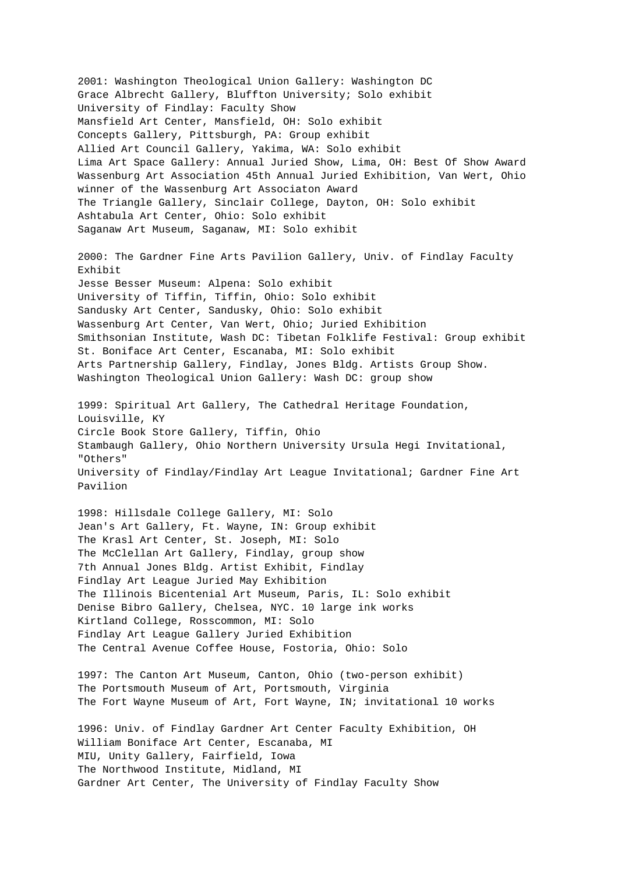2001: Washington Theological Union Gallery: Washington DC Grace Albrecht Gallery, Bluffton University; Solo exhibit University of Findlay: Faculty Show Mansfield Art Center, Mansfield, OH: Solo exhibit Concepts Gallery, Pittsburgh, PA: Group exhibit Allied Art Council Gallery, Yakima, WA: Solo exhibit Lima Art Space Gallery: Annual Juried Show, Lima, OH: Best Of Show Award Wassenburg Art Association 45th Annual Juried Exhibition, Van Wert, Ohio winner of the Wassenburg Art Associaton Award The Triangle Gallery, Sinclair College, Dayton, OH: Solo exhibit Ashtabula Art Center, Ohio: Solo exhibit Saganaw Art Museum, Saganaw, MI: Solo exhibit 2000: The Gardner Fine Arts Pavilion Gallery, Univ. of Findlay Faculty Exhibit Jesse Besser Museum: Alpena: Solo exhibit University of Tiffin, Tiffin, Ohio: Solo exhibit Sandusky Art Center, Sandusky, Ohio: Solo exhibit Wassenburg Art Center, Van Wert, Ohio; Juried Exhibition Smithsonian Institute, Wash DC: Tibetan Folklife Festival: Group exhibit St. Boniface Art Center, Escanaba, MI: Solo exhibit Arts Partnership Gallery, Findlay, Jones Bldg. Artists Group Show. Washington Theological Union Gallery: Wash DC: group show 1999: Spiritual Art Gallery, The Cathedral Heritage Foundation, Louisville, KY Circle Book Store Gallery, Tiffin, Ohio Stambaugh Gallery, Ohio Northern University Ursula Hegi Invitational, "Others" University of Findlay/Findlay Art League Invitational; Gardner Fine Art Pavilion 1998: Hillsdale College Gallery, MI: Solo Jean's Art Gallery, Ft. Wayne, IN: Group exhibit The Krasl Art Center, St. Joseph, MI: Solo The McClellan Art Gallery, Findlay, group show 7th Annual Jones Bldg. Artist Exhibit, Findlay Findlay Art League Juried May Exhibition The Illinois Bicentenial Art Museum, Paris, IL: Solo exhibit Denise Bibro Gallery, Chelsea, NYC. 10 large ink works Kirtland College, Rosscommon, MI: Solo Findlay Art League Gallery Juried Exhibition The Central Avenue Coffee House, Fostoria, Ohio: Solo 1997: The Canton Art Museum, Canton, Ohio (two-person exhibit) The Portsmouth Museum of Art, Portsmouth, Virginia The Fort Wayne Museum of Art, Fort Wayne, IN; invitational 10 works 1996: Univ. of Findlay Gardner Art Center Faculty Exhibition, OH William Boniface Art Center, Escanaba, MI MIU, Unity Gallery, Fairfield, Iowa The Northwood Institute, Midland, MI Gardner Art Center, The University of Findlay Faculty Show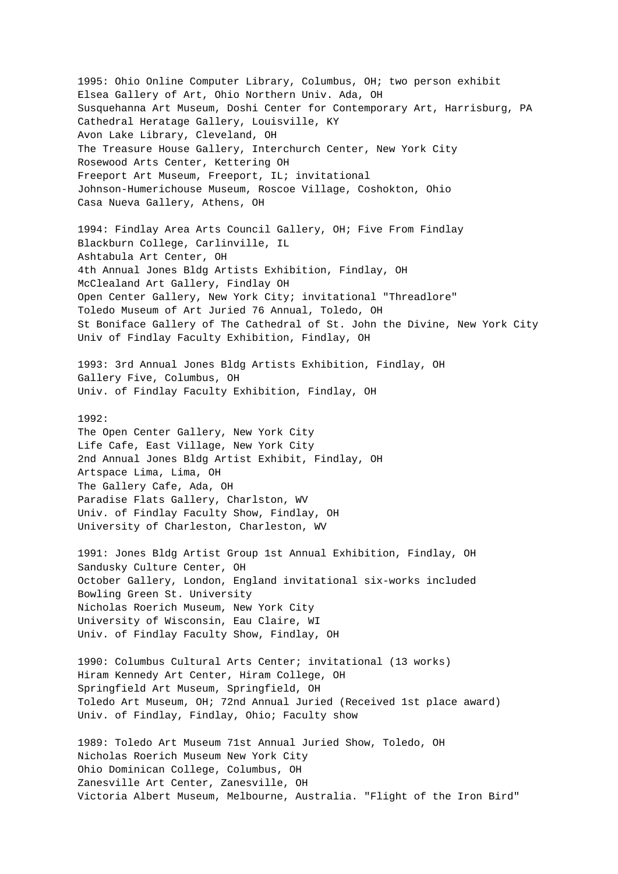1995: Ohio Online Computer Library, Columbus, OH; two person exhibit Elsea Gallery of Art, Ohio Northern Univ. Ada, OH Susquehanna Art Museum, Doshi Center for Contemporary Art, Harrisburg, PA Cathedral Heratage Gallery, Louisville, KY Avon Lake Library, Cleveland, OH The Treasure House Gallery, Interchurch Center, New York City Rosewood Arts Center, Kettering OH Freeport Art Museum, Freeport, IL; invitational Johnson-Humerichouse Museum, Roscoe Village, Coshokton, Ohio Casa Nueva Gallery, Athens, OH

1994: Findlay Area Arts Council Gallery, OH; Five From Findlay Blackburn College, Carlinville, IL Ashtabula Art Center, OH 4th Annual Jones Bldg Artists Exhibition, Findlay, OH McClealand Art Gallery, Findlay OH Open Center Gallery, New York City; invitational "Threadlore" Toledo Museum of Art Juried 76 Annual, Toledo, OH St Boniface Gallery of The Cathedral of St. John the Divine, New York City Univ of Findlay Faculty Exhibition, Findlay, OH

1993: 3rd Annual Jones Bldg Artists Exhibition, Findlay, OH Gallery Five, Columbus, OH Univ. of Findlay Faculty Exhibition, Findlay, OH

## 1992:

The Open Center Gallery, New York City Life Cafe, East Village, New York City 2nd Annual Jones Bldg Artist Exhibit, Findlay, OH Artspace Lima, Lima, OH The Gallery Cafe, Ada, OH Paradise Flats Gallery, Charlston, WV Univ. of Findlay Faculty Show, Findlay, OH University of Charleston, Charleston, WV

1991: Jones Bldg Artist Group 1st Annual Exhibition, Findlay, OH Sandusky Culture Center, OH October Gallery, London, England invitational six-works included Bowling Green St. University Nicholas Roerich Museum, New York City University of Wisconsin, Eau Claire, WI Univ. of Findlay Faculty Show, Findlay, OH

1990: Columbus Cultural Arts Center; invitational (13 works) Hiram Kennedy Art Center, Hiram College, OH Springfield Art Museum, Springfield, OH Toledo Art Museum, OH; 72nd Annual Juried (Received 1st place award) Univ. of Findlay, Findlay, Ohio; Faculty show

1989: Toledo Art Museum 71st Annual Juried Show, Toledo, OH Nicholas Roerich Museum New York City Ohio Dominican College, Columbus, OH Zanesville Art Center, Zanesville, OH Victoria Albert Museum, Melbourne, Australia. "Flight of the Iron Bird"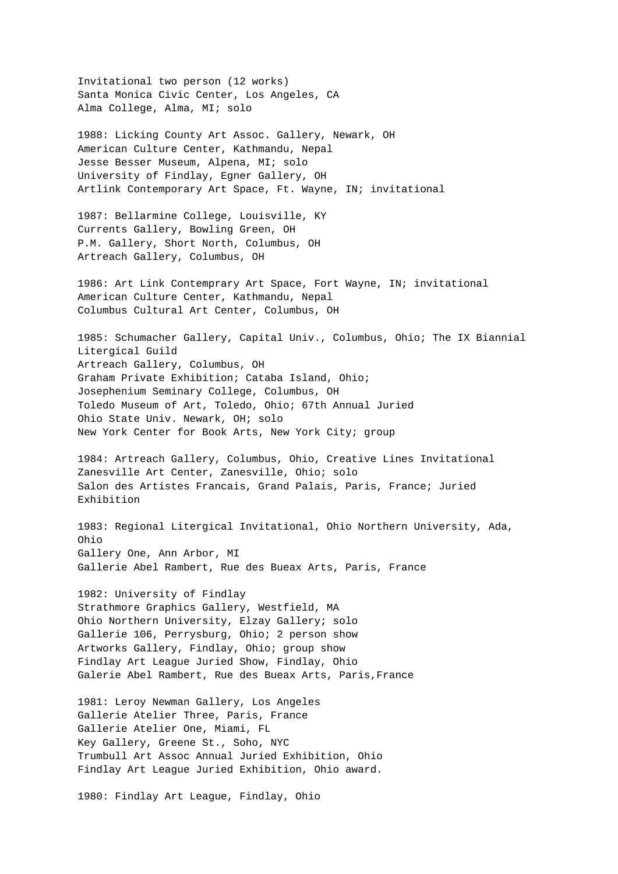Invitational two person (12 works) Santa Monica Civic Center, Los Angeles, CA Alma College, Alma, MI; solo

1988: Licking County Art Assoc. Gallery, Newark, OH American Culture Center, Kathmandu, Nepal Jesse Besser Museum, Alpena, MI; solo University of Findlay, Egner Gallery, OH Artlink Contemporary Art Space, Ft. Wayne, IN; invitational

1987: Bellarmine College, Louisville, KY Currents Gallery, Bowling Green, OH P.M. Gallery, Short North, Columbus, OH Artreach Gallery, Columbus, OH

1986: Art Link Contemprary Art Space, Fort Wayne, IN; invitational American Culture Center, Kathmandu, Nepal Columbus Cultural Art Center, Columbus, OH

1985: Schumacher Gallery, Capital Univ., Columbus, Ohio; The IX Biannial Litergical Guild Artreach Gallery, Columbus, OH Graham Private Exhibition; Cataba Island, Ohio; Josephenium Seminary College, Columbus, OH Toledo Museum of Art, Toledo, Ohio; 67th Annual Juried Ohio State Univ. Newark, OH; solo New York Center for Book Arts, New York City; group

1984: Artreach Gallery, Columbus, Ohio, Creative Lines Invitational Zanesville Art Center, Zanesville, Ohio; solo Salon des Artistes Francais, Grand Palais, Paris, France; Juried Exhibition

1983: Regional Litergical Invitational, Ohio Northern University, Ada, Ohio Gallery One, Ann Arbor, MI Gallerie Abel Rambert, Rue des Bueax Arts, Paris, France

1982: University of Findlay Strathmore Graphics Gallery, Westfield, MA Ohio Northern University, Elzay Gallery; solo Gallerie 106, Perrysburg, Ohio; 2 person show Artworks Gallery, Findlay, Ohio; group show Findlay Art League Juried Show, Findlay, Ohio Galerie Abel Rambert, Rue des Bueax Arts, Paris,France

1981: Leroy Newman Gallery, Los Angeles Gallerie Atelier Three, Paris, France Gallerie Atelier One, Miami, FL Key Gallery, Greene St., Soho, NYC Trumbull Art Assoc Annual Juried Exhibition, Ohio Findlay Art League Juried Exhibition, Ohio award.

1980: Findlay Art League, Findlay, Ohio